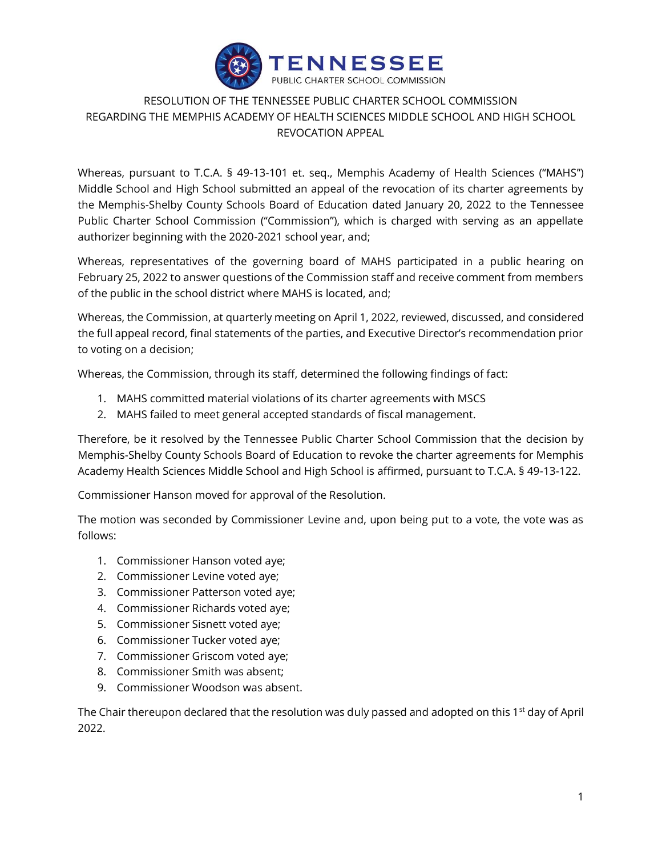

## RESOLUTION OF THE TENNESSEE PUBLIC CHARTER SCHOOL COMMISSION REGARDING THE MEMPHIS ACADEMY OF HEALTH SCIENCES MIDDLE SCHOOL AND HIGH SCHOOL REVOCATION APPEAL

Whereas, pursuant to T.C.A. § 49-13-101 et. seq., Memphis Academy of Health Sciences ("MAHS") Middle School and High School submitted an appeal of the revocation of its charter agreements by the Memphis-Shelby County Schools Board of Education dated January 20, 2022 to the Tennessee Public Charter School Commission ("Commission"), which is charged with serving as an appellate authorizer beginning with the 2020-2021 school year, and;

Whereas, representatives of the governing board of MAHS participated in a public hearing on February 25, 2022 to answer questions of the Commission staff and receive comment from members of the public in the school district where MAHS is located, and;

Whereas, the Commission, at quarterly meeting on April 1, 2022, reviewed, discussed, and considered the full appeal record, final statements of the parties, and Executive Director's recommendation prior to voting on a decision;

Whereas, the Commission, through its staff, determined the following findings of fact:

- 1. MAHS committed material violations of its charter agreements with MSCS
- 2. MAHS failed to meet general accepted standards of fiscal management.

Therefore, be it resolved by the Tennessee Public Charter School Commission that the decision by Memphis-Shelby County Schools Board of Education to revoke the charter agreements for Memphis Academy Health Sciences Middle School and High School is affirmed, pursuant to T.C.A. § 49-13-122.

Commissioner Hanson moved for approval of the Resolution.

The motion was seconded by Commissioner Levine and, upon being put to a vote, the vote was as follows:

- 1. Commissioner Hanson voted aye;
- 2. Commissioner Levine voted aye;
- 3. Commissioner Patterson voted aye;
- 4. Commissioner Richards voted aye;
- 5. Commissioner Sisnett voted aye;
- 6. Commissioner Tucker voted aye;
- 7. Commissioner Griscom voted aye;
- 8. Commissioner Smith was absent;
- 9. Commissioner Woodson was absent.

The Chair thereupon declared that the resolution was duly passed and adopted on this 1<sup>st</sup> day of April 2022.